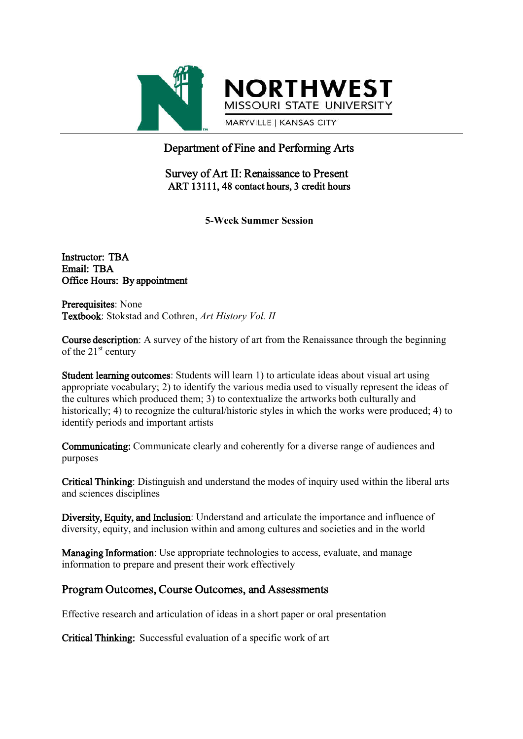

**NORTHWEST** MISSOURI STATE UNIVERSITY

MARYVILLE | KANSAS CITY

# Department of Fine and Performing Arts

## Survey of Art II: Renaissance to Present ART 13111, 48 contact hours, 3 credit hours

**5-Week Summer Session**

Instructor: TBA Email: TBA Office Hours: By appointment

Prerequisites: None Textbook: Stokstad and Cothren, *Art History Vol. II*

Course description: A survey of the history of art from the Renaissance through the beginning of the  $21<sup>st</sup>$  century

Student learning outcomes: Students will learn 1) to articulate ideas about visual art using appropriate vocabulary; 2) to identify the various media used to visually represent the ideas of the cultures which produced them; 3) to contextualize the artworks both culturally and historically; 4) to recognize the cultural/historic styles in which the works were produced; 4) to identify periods and important artists

Communicating: Communicate clearly and coherently for a diverse range of audiences and purposes

Critical Thinking: Distinguish and understand the modes of inquiry used within the liberal arts and sciences disciplines

Diversity, Equity, and Inclusion: Understand and articulate the importance and influence of diversity, equity, and inclusion within and among cultures and societies and in the world

Managing Information: Use appropriate technologies to access, evaluate, and manage information to prepare and present their work effectively

## Program Outcomes, Course Outcomes, and Assessments

Effective research and articulation of ideas in a short paper or oral presentation

Critical Thinking: Successful evaluation of a specific work of art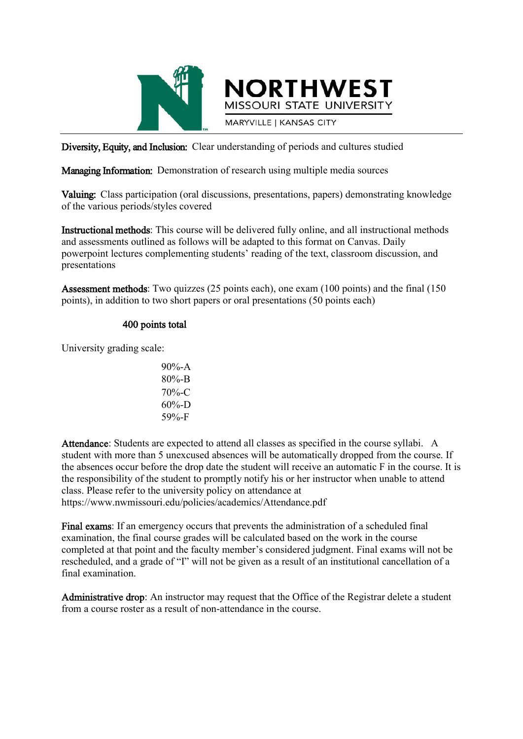

Diversity, Equity, and Inclusion: Clear understanding of periods and cultures studied

Managing Information: Demonstration of research using multiple media sources

Valuing: Class participation (oral discussions, presentations, papers) demonstrating knowledge of the various periods/styles covered

**NORTHWEST** MISSOURI STATE UNIVERSITY

**MARYVILLE | KANSAS CITY** 

Instructional methods: This course will be delivered fully online, and all instructional methods and assessments outlined as follows will be adapted to this format on Canvas. Daily powerpoint lectures complementing students' reading of the text, classroom discussion, and presentations

Assessment methods: Two quizzes (25 points each), one exam (100 points) and the final (150 points), in addition to two short papers or oral presentations (50 points each)

#### 400 points total

University grading scale:

90%-A 80%-B 70%-C  $60\% - D$ 59%-F

Attendance: Students are expected to attend all classes as specified in the course syllabi. A student with more than 5 unexcused absences will be automatically dropped from the course. If the absences occur before the drop date the student will receive an automatic F in the course. It is the responsibility of the student to promptly notify his or her instructor when unable to attend class. Please refer to the university policy on attendance at https://www.nwmissouri.edu/policies/academics/Attendance.pdf

Final exams: If an emergency occurs that prevents the administration of a scheduled final examination, the final course grades will be calculated based on the work in the course completed at that point and the faculty member's considered judgment. Final exams will not be rescheduled, and a grade of "I" will not be given as a result of an institutional cancellation of a final examination.

Administrative drop: An instructor may request that the Office of the Registrar delete a student from a course roster as a result of non-attendance in the course.